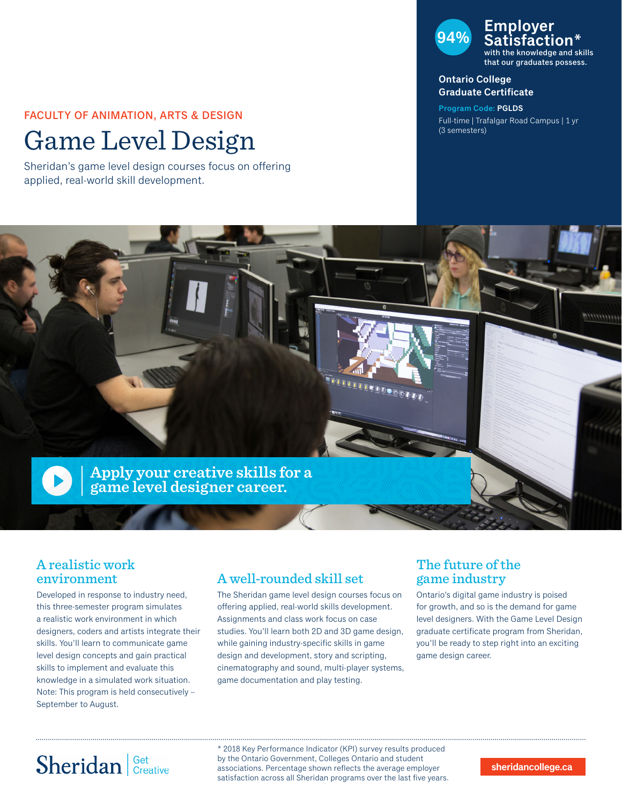### FACULTY OF ANIMATION, ARTS & DESIGN

# Game Level Design

Sheridan's game level design courses focus on offering applied, real-world skill development.

### **94% Employer Satisfaction\*** with the knowledge and skills that our graduates possess.

#### **Ontario College Graduate Certificate**

**Program Code: PGLDS** Full-time | Trafalgar Road Campus | 1 yr (3 semesters)



### A realistic work environment

Developed in response to industry need, this three-semester program simulates a realistic work environment in which designers, coders and artists integrate their skills. You'll learn to communicate game level design concepts and gain practical skills to implement and evaluate this knowledge in a simulated work situation. Note: This program is held consecutively – September to August.

## A well-rounded skill set

The Sheridan game level design courses focus on offering applied, real-world skills development. Assignments and class work focus on case studies. You'll learn both 2D and 3D game design, while gaining industry-specific skills in game design and development, story and scripting, cinematography and sound, multi-player systems, game documentation and play testing.

## The future of the game industry

Ontario's digital game industry is poised for growth, and so is the demand for game level designers. With the Game Level Design graduate certificate program from Sheridan, you'll be ready to step right into an exciting game design career.

# Sheridan Get Creative

\* 2018 Key Performance Indicator (KPI) survey results produced by the Ontario Government, Colleges Ontario and student associations. Percentage shown reflects the average employer satisfaction across all Sheridan programs over the last five years.